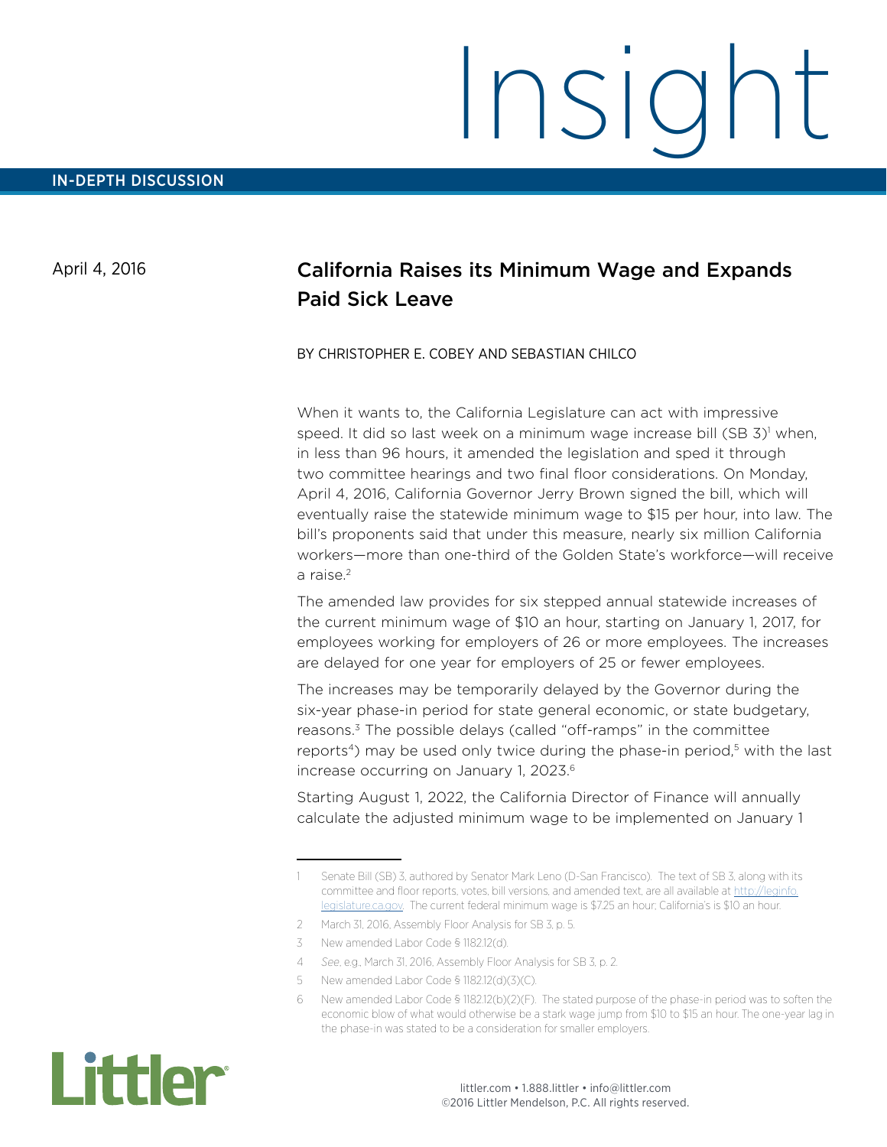April 4, 2016

# California Raises its Minimum Wage and Expands Paid Sick Leave

#### BY CHRISTOPHER E. COBEY AND SEBASTIAN CHILCO

When it wants to, the California Legislature can act with impressive speed. It did so last week on a minimum wage increase bill (SB 3)<sup>1</sup> when, in less than 96 hours, it amended the legislation and sped it through two committee hearings and two final floor considerations. On Monday, April 4, 2016, California Governor Jerry Brown signed the bill, which will eventually raise the statewide minimum wage to \$15 per hour, into law. The bill's proponents said that under this measure, nearly six million California workers—more than one-third of the Golden State's workforce—will receive a raise.<sup>2</sup>

The amended law provides for six stepped annual statewide increases of the current minimum wage of \$10 an hour, starting on January 1, 2017, for employees working for employers of 26 or more employees. The increases are delayed for one year for employers of 25 or fewer employees.

The increases may be temporarily delayed by the Governor during the six-year phase-in period for state general economic, or state budgetary, reasons.3 The possible delays (called "off-ramps" in the committee reports<sup>4</sup>) may be used only twice during the phase-in period,<sup>5</sup> with the last increase occurring on January 1, 2023.<sup>6</sup>

Starting August 1, 2022, the California Director of Finance will annually calculate the adjusted minimum wage to be implemented on January 1

- 2 March 31, 2016, Assembly Floor Analysis for SB 3, p. 5.
- 3 New amended Labor Code § 1182.12(d).
- 4 *See*, e.g., March 31, 2016, Assembly Floor Analysis for SB 3, p. 2.
- 5 New amended Labor Code § 1182.12(d)(3)(C).
- 6 New amended Labor Code § 1182.12(b)(2)(F). The stated purpose of the phase-in period was to soften the economic blow of what would otherwise be a stark wage jump from \$10 to \$15 an hour. The one-year lag in the phase-in was stated to be a consideration for smaller employers.



Senate Bill (SB) 3, authored by Senator Mark Leno (D-San Francisco). The text of SB 3, along with its committee and floor reports, votes, bill versions, and amended text, are all available at [http://leginfo.](http://leginfo.legislature.ca.gov/) [legislature.ca.gov](http://leginfo.legislature.ca.gov/). The current federal minimum wage is \$7.25 an hour; California's is \$10 an hour.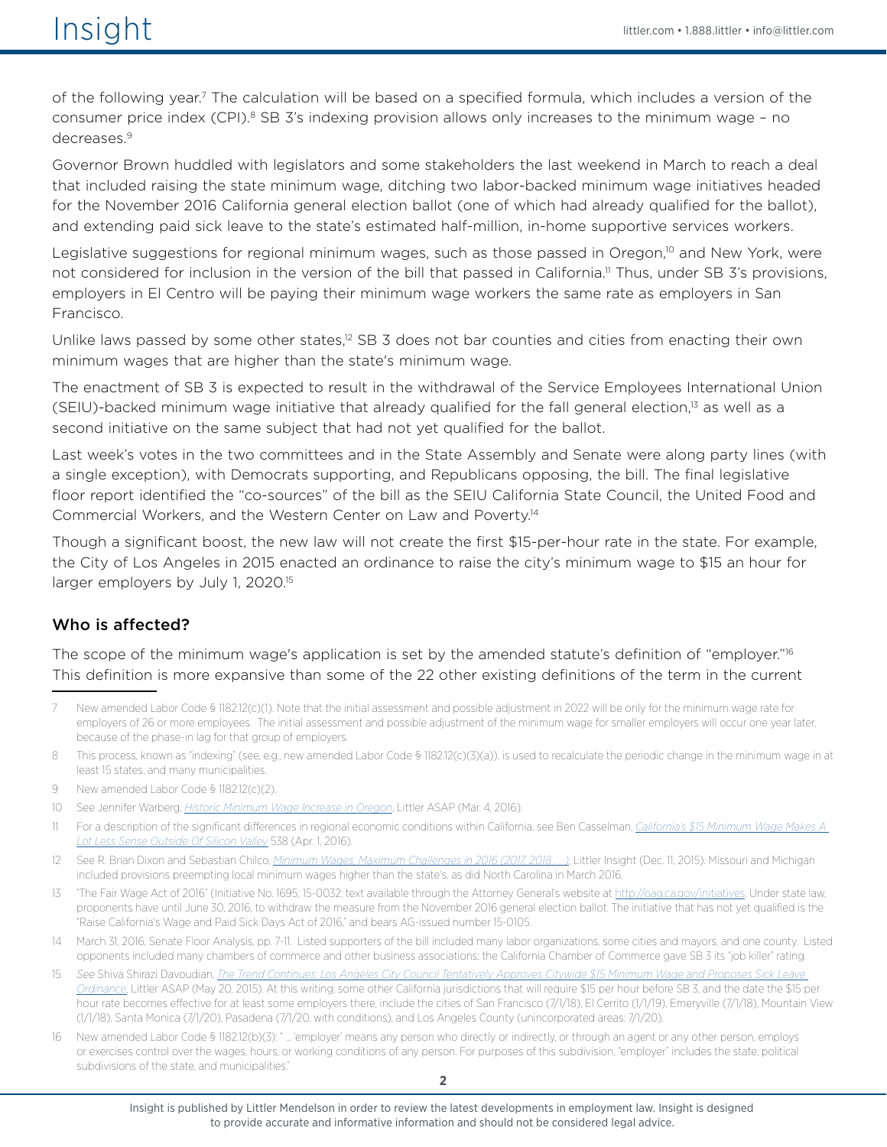# $\sqrt{151}$   $\sqrt{151}$   $\sqrt{151}$   $\sqrt{151}$   $\sqrt{151}$   $\sqrt{151}$   $\sqrt{151}$   $\sqrt{151}$   $\sqrt{151}$   $\sqrt{151}$   $\sqrt{151}$   $\sqrt{151}$   $\sqrt{151}$   $\sqrt{151}$   $\sqrt{151}$   $\sqrt{151}$   $\sqrt{151}$   $\sqrt{151}$   $\sqrt{151}$   $\sqrt{151}$   $\sqrt{151}$   $\sqrt{151}$

of the following year.7 The calculation will be based on a specified formula, which includes a version of the consumer price index (CPI).<sup>8</sup> SB 3's indexing provision allows only increases to the minimum wage - no decreases.<sup>9</sup>

Governor Brown huddled with legislators and some stakeholders the last weekend in March to reach a deal that included raising the state minimum wage, ditching two labor-backed minimum wage initiatives headed for the November 2016 California general election ballot (one of which had already qualified for the ballot), and extending paid sick leave to the state's estimated half-million, in-home supportive services workers.

Legislative suggestions for regional minimum wages, such as those passed in Oregon,<sup>10</sup> and New York, were not considered for inclusion in the version of the bill that passed in California.<sup>11</sup> Thus, under SB 3's provisions, employers in El Centro will be paying their minimum wage workers the same rate as employers in San Francisco.

Unlike laws passed by some other states,<sup>12</sup> SB 3 does not bar counties and cities from enacting their own minimum wages that are higher than the state's minimum wage.

The enactment of SB 3 is expected to result in the withdrawal of the Service Employees International Union (SEIU)-backed minimum wage initiative that already qualified for the fall general election,<sup>13</sup> as well as a second initiative on the same subject that had not yet qualified for the ballot.

Last week's votes in the two committees and in the State Assembly and Senate were along party lines (with a single exception), with Democrats supporting, and Republicans opposing, the bill. The final legislative floor report identified the "co-sources" of the bill as the SEIU California State Council, the United Food and Commercial Workers, and the Western Center on Law and Poverty.14

Though a significant boost, the new law will not create the first \$15-per-hour rate in the state. For example, the City of Los Angeles in 2015 enacted an ordinance to raise the city's minimum wage to \$15 an hour for larger employers by July 1, 2020.<sup>15</sup>

# Who is affected?

The scope of the minimum wage's application is set by the amended statute's definition of "employer."<sup>16</sup> This definition is more expansive than some of the 22 other existing definitions of the term in the current

- 7 New amended Labor Code § 1182.12(c)(1). Note that the initial assessment and possible adjustment in 2022 will be only for the minimum wage rate for employers of 26 or more employees. The initial assessment and possible adjustment of the minimum wage for smaller employers will occur one year later, because of the phase-in lag for that group of employers.
- This process, known as "indexing" (see, e.g., new amended Labor Code § 1182.12(c)(3)(a)), is used to recalculate the periodic change in the minimum wage in at least 15 states, and many municipalities.
- 9 New amended Labor Code § 1182.12(c)(2).
- 10 See Jennifer Warberg, *[Historic Minimum Wage Increase in Oregon](http://www.littler.com/publication-press/publication/historic-minimum-wage-increase-oregon)*, Littler ASAP (Mar. 4, 2016).
- 11 For a description of the significant differences in regional economic conditions within California, see Ben Casselman, *[California's \\$15 Minimum Wage Makes A](http://fivethirtyeight.com/features/californias-15-minimum-wage-makes-a-lot-less-sense-outside-of-silicon-valley/?ex_cid=538fb)  [Lot Less Sense Outside Of Silicon Valley](http://fivethirtyeight.com/features/californias-15-minimum-wage-makes-a-lot-less-sense-outside-of-silicon-valley/?ex_cid=538fb)* 538 (Apr. 1, 2016).
- 12 See R. Brian Dixon and Sebastian Chilco, *[Minimum Wages, Maximum Challenges in 2016 \(2017, 2018 . . .\)](http://www.littler.com/publication-press/publication/minimum-wages-maximum-challenges-2016-2017-2018)*, Littler Insight (Dec. 11, 2015). Missouri and Michigan included provisions preempting local minimum wages higher than the state's, as did North Carolina in March 2016.
- 13 "The Fair Wage Act of 2016" (Initiative No. 1695; 15-0032; text available through the Attorney General's website at <http://oag.ca.gov/initiatives>. Under state law, proponents have until June 30, 2016, to withdraw the measure from the November 2016 general election ballot. The initiative that has not yet qualified is the "Raise California's Wage and Paid Sick Days Act of 2016," and bears AG-issued number 15-0105.
- 14 March 31, 2016, Senate Floor Analysis, pp. 7-11. Listed supporters of the bill included many labor organizations, some cities and mayors, and one county. Listed opponents included many chambers of commerce and other business associations; the California Chamber of Commerce gave SB 3 its "job killer" rating.
- 15 *See* Shiva Shirazi Davoudian, *[The Trend Continues: Los Angeles City Council Tentatively Approves Citywide \\$15 Minimum Wage and Proposes Sick Leave](http://www.littler.com/publication-press/publication/trend-continues-los-angeles-city-council-tentatively-approves-citywide)  [Ordinance](http://www.littler.com/publication-press/publication/trend-continues-los-angeles-city-council-tentatively-approves-citywide)*, Littler ASAP (May 20, 2015). At this writing, some other California jurisdictions that will require \$15 per hour before SB 3, and the date the \$15 per hour rate becomes effective for at least some employers there, include the cities of San Francisco (7/1/18), El Cerrito (1/1/19), Emeryville (7/1/18), Mountain View (1/1/18), Santa Monica (7/1/20), Pasadena (7/1/20, with conditions), and Los Angeles County (unincorporated areas: 7/1/20).
- 16 New amended Labor Code § 1182.12(b)(3): " … 'employer' means any person who directly or indirectly, or through an agent or any other person, employs or exercises control over the wages, hours, or working conditions of any person. For purposes of this subdivision, "employer" includes the state, political subdivisions of the state, and municipalities."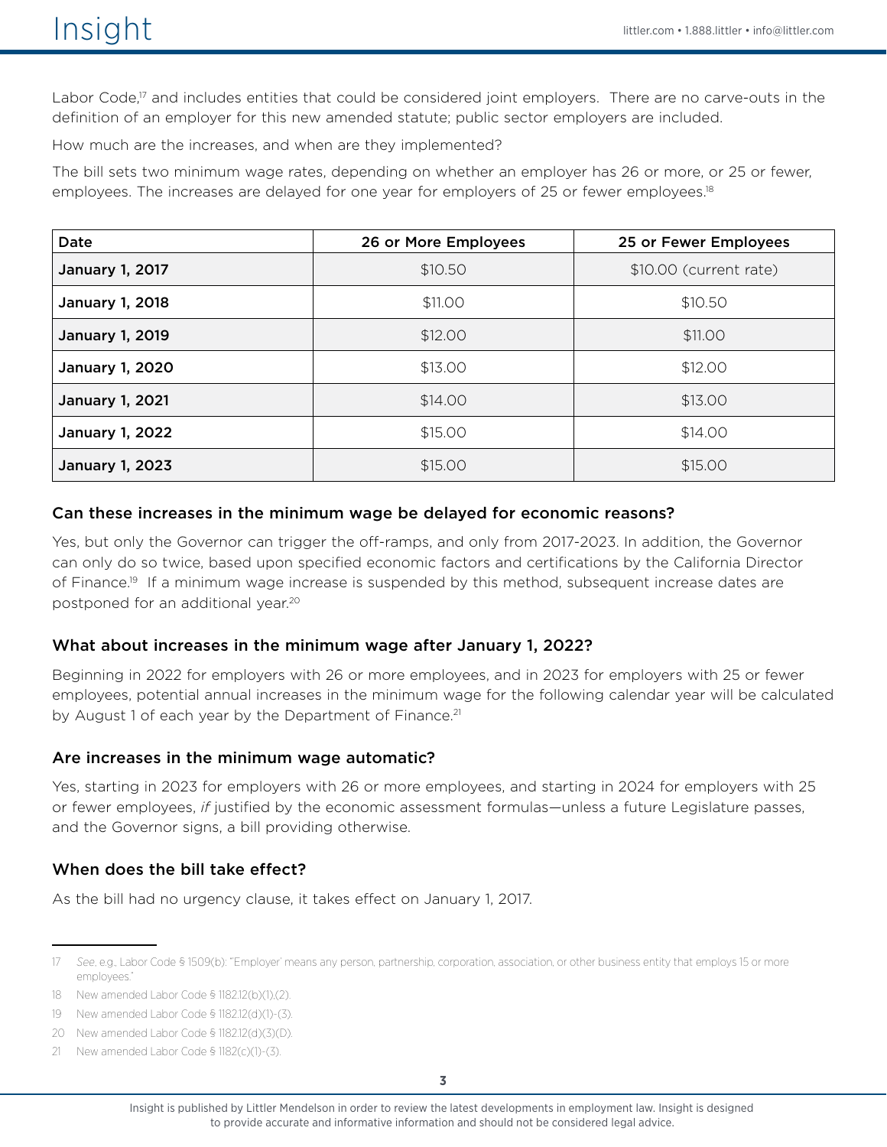Labor Code,<sup>17</sup> and includes entities that could be considered joint employers. There are no carve-outs in the definition of an employer for this new amended statute; public sector employers are included.

How much are the increases, and when are they implemented?

The bill sets two minimum wage rates, depending on whether an employer has 26 or more, or 25 or fewer, employees. The increases are delayed for one year for employers of 25 or fewer employees.<sup>18</sup>

| Date                   | 26 or More Employees | 25 or Fewer Employees  |
|------------------------|----------------------|------------------------|
| <b>January 1, 2017</b> | \$10.50              | \$10.00 (current rate) |
| <b>January 1, 2018</b> | \$11.00              | \$10.50                |
| <b>January 1, 2019</b> | \$12.00              | \$11.00                |
| <b>January 1, 2020</b> | \$13.00              | \$12.00                |
| <b>January 1, 2021</b> | \$14.00              | \$13.00                |
| <b>January 1, 2022</b> | \$15.00              | \$14.00                |
| January 1, 2023        | \$15.00              | \$15.00                |

#### Can these increases in the minimum wage be delayed for economic reasons?

Yes, but only the Governor can trigger the off-ramps, and only from 2017-2023. In addition, the Governor can only do so twice, based upon specified economic factors and certifications by the California Director of Finance.<sup>19</sup> If a minimum wage increase is suspended by this method, subsequent increase dates are postponed for an additional year.20

#### What about increases in the minimum wage after January 1, 2022?

Beginning in 2022 for employers with 26 or more employees, and in 2023 for employers with 25 or fewer employees, potential annual increases in the minimum wage for the following calendar year will be calculated by August 1 of each year by the Department of Finance.<sup>21</sup>

#### Are increases in the minimum wage automatic?

Yes, starting in 2023 for employers with 26 or more employees, and starting in 2024 for employers with 25 or fewer employees, *if* justified by the economic assessment formulas—unless a future Legislature passes, and the Governor signs, a bill providing otherwise.

#### When does the bill take effect?

As the bill had no urgency clause, it takes effect on January 1, 2017.

<sup>17</sup> *See*, e.g., Labor Code § 1509(b): "'Employer' means any person, partnership, corporation, association, or other business entity that employs 15 or more employees."

<sup>18</sup> New amended Labor Code § 1182.12(b)(1),(2).

<sup>19</sup> New amended Labor Code § 1182.12(d)(1)-(3).

<sup>20</sup> New amended Labor Code § 1182.12(d)(3)(D).

<sup>21</sup> New amended Labor Code § 1182(c)(1)-(3).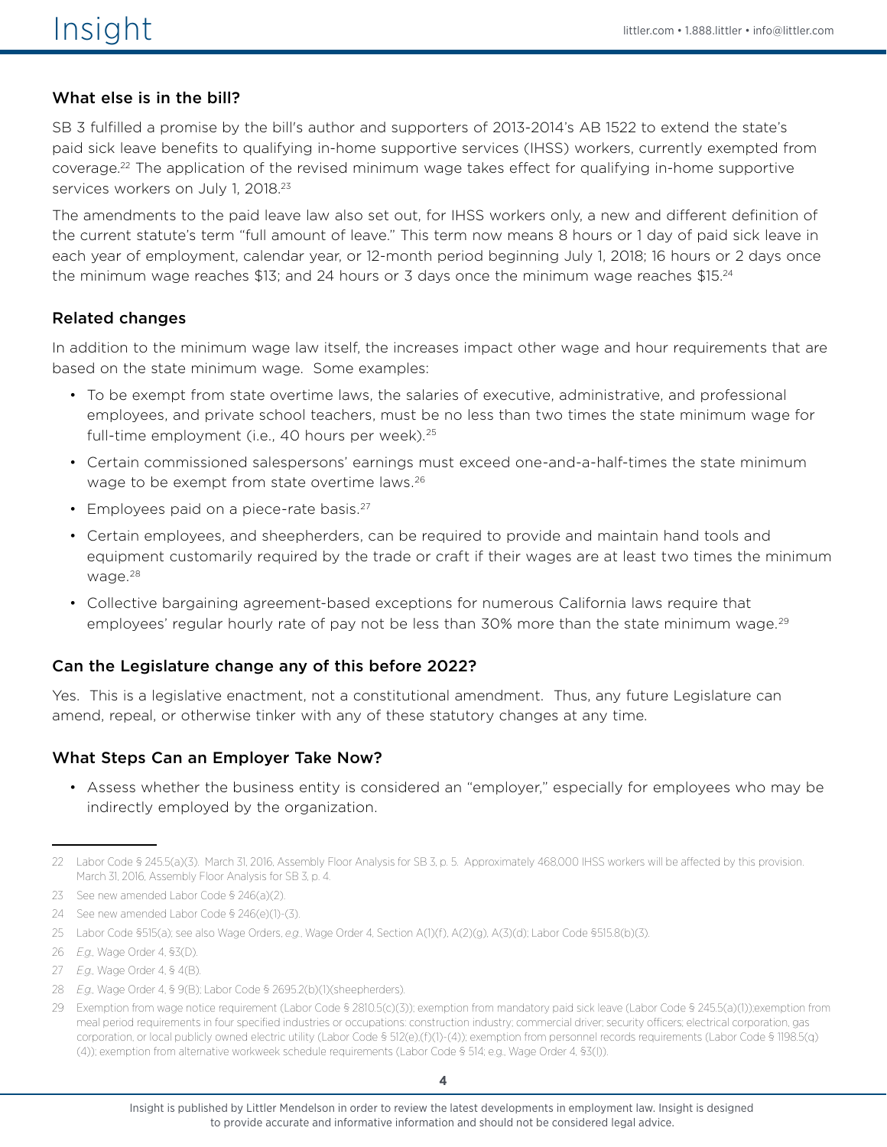## What else is in the bill?

SB 3 fulfilled a promise by the bill's author and supporters of 2013-2014's AB 1522 to extend the state's paid sick leave benefits to qualifying in-home supportive services (IHSS) workers, currently exempted from coverage.22 The application of the revised minimum wage takes effect for qualifying in-home supportive services workers on July 1, 2018.<sup>23</sup>

The amendments to the paid leave law also set out, for IHSS workers only, a new and different definition of the current statute's term "full amount of leave." This term now means 8 hours or 1 day of paid sick leave in each year of employment, calendar year, or 12-month period beginning July 1, 2018; 16 hours or 2 days once the minimum wage reaches \$13; and 24 hours or 3 days once the minimum wage reaches \$15.<sup>24</sup>

### Related changes

In addition to the minimum wage law itself, the increases impact other wage and hour requirements that are based on the state minimum wage. Some examples:

- To be exempt from state overtime laws, the salaries of executive, administrative, and professional employees, and private school teachers, must be no less than two times the state minimum wage for full-time employment (i.e., 40 hours per week).<sup>25</sup>
- Certain commissioned salespersons' earnings must exceed one-and-a-half-times the state minimum wage to be exempt from state overtime laws.<sup>26</sup>
- Employees paid on a piece-rate basis.<sup>27</sup>
- Certain employees, and sheepherders, can be required to provide and maintain hand tools and equipment customarily required by the trade or craft if their wages are at least two times the minimum wage.<sup>28</sup>
- Collective bargaining agreement-based exceptions for numerous California laws require that employees' regular hourly rate of pay not be less than 30% more than the state minimum wage.<sup>29</sup>

### Can the Legislature change any of this before 2022?

Yes. This is a legislative enactment, not a constitutional amendment. Thus, any future Legislature can amend, repeal, or otherwise tinker with any of these statutory changes at any time.

#### What Steps Can an Employer Take Now?

• Assess whether the business entity is considered an "employer," especially for employees who may be indirectly employed by the organization.

<sup>22</sup> Labor Code § 245.5(a)(3). March 31, 2016, Assembly Floor Analysis for SB 3, p. 5. Approximately 468,000 IHSS workers will be affected by this provision. March 31, 2016, Assembly Floor Analysis for SB 3, p. 4.

<sup>23</sup> See new amended Labor Code § 246(a)(2).

<sup>24</sup> See new amended Labor Code § 246(e)(1)-(3).

<sup>25</sup> Labor Code §515(a); see also Wage Orders, *e.g.*, Wage Order 4, Section A(1)(f), A(2)(g), A(3)(d); Labor Code §515.8(b)(3).

<sup>26</sup> *E.g.,* Wage Order 4, §3(D).

<sup>27</sup> *E.g.,* Wage Order 4, § 4(B).

<sup>28</sup> *E.g.,* Wage Order 4, § 9(B); Labor Code § 2695.2(b)(1)(sheepherders).

<sup>29</sup> Exemption from wage notice requirement (Labor Code § 2810.5(c)(3)); exemption from mandatory paid sick leave (Labor Code § 245.5(a)(1));exemption from meal period requirements in four specified industries or occupations: construction industry; commercial driver; security officers; electrical corporation, gas corporation, or local publicly owned electric utility (Labor Code § 512(e),(f)(1)-(4)); exemption from personnel records requirements (Labor Code § 1198.5(q) (4)); exemption from alternative workweek schedule requirements (Labor Code § 514; e.g., Wage Order 4, §3(I)).